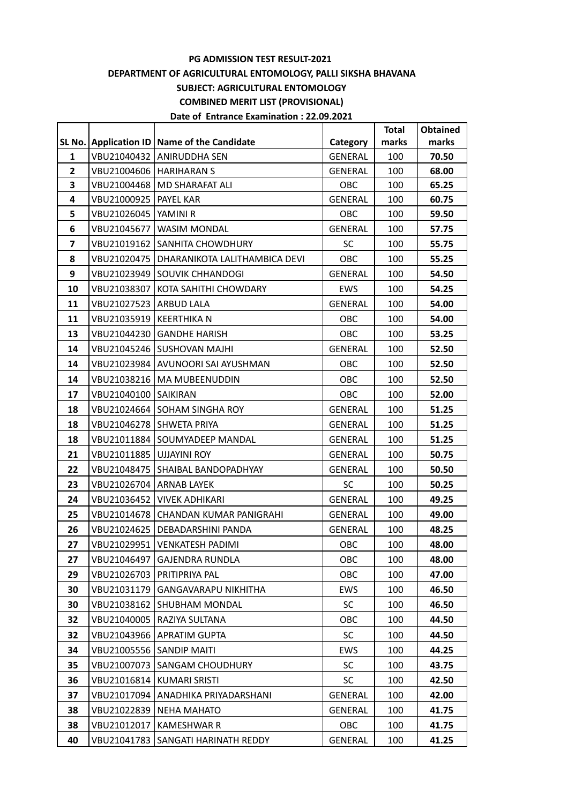## **PG ADMISSION TEST RESULT-2021 DEPARTMENT OF AGRICULTURAL ENTOMOLOGY, PALLI SIKSHA BHAVANA SUBJECT: AGRICULTURAL ENTOMOLOGY COMBINED MERIT LIST (PROVISIONAL) Date of Entrance Examination : 22.09.2021**

|                |                                |                                               |                | <b>Total</b> | Obtained |
|----------------|--------------------------------|-----------------------------------------------|----------------|--------------|----------|
|                |                                | SL No. Application ID   Name of the Candidate | Category       | marks        | marks    |
| 1              |                                | VBU21040432 ANIRUDDHA SEN                     | GENERAL        | 100          | 70.50    |
| $\overline{2}$ | VBU21004606   HARIHARAN S      |                                               | GENERAL        | 100          | 68.00    |
| 3              |                                | VBU21004468   MD SHARAFAT ALI                 | OBC            | 100          | 65.25    |
| 4              | <b>VBU21000925   PAYEL KAR</b> |                                               | GENERAL        | 100          | 60.75    |
| 5              | VBU21026045   YAMINI R         |                                               | OBC            | 100          | 59.50    |
| 6              |                                | VBU21045677   WASIM MONDAL                    | <b>GENERAL</b> | 100          | 57.75    |
| 7              |                                | VBU21019162 SANHITA CHOWDHURY                 | <b>SC</b>      | 100          | 55.75    |
| 8              |                                | VBU21020475   DHARANIKOTA LALITHAMBICA DEVI   | OBC            | 100          | 55.25    |
| 9              |                                | VBU21023949 SOUVIK CHHANDOGI                  | GENERAL        | 100          | 54.50    |
| 10             |                                | VBU21038307 KOTA SAHITHI CHOWDARY             | EWS            | 100          | 54.25    |
| 11             | VBU21027523   ARBUD LALA       |                                               | GENERAL        | 100          | 54.00    |
| 11             | VBU21035919   KEERTHIKA N      |                                               | OBC            | 100          | 54.00    |
| 13             |                                | VBU21044230 GANDHE HARISH                     | OBC            | 100          | 53.25    |
| 14             |                                | VBU21045246 SUSHOVAN MAJHI                    | <b>GENERAL</b> | 100          | 52.50    |
| 14             |                                | VBU21023984 AVUNOORI SAI AYUSHMAN             | OBC            | 100          | 52.50    |
| 14             |                                | VBU21038216   MA MUBEENUDDIN                  | OBC            | 100          | 52.50    |
| 17             | VBU21040100   SAIKIRAN         |                                               | OBC            | 100          | 52.00    |
| 18             |                                | VBU21024664 SOHAM SINGHA ROY                  | <b>GENERAL</b> | 100          | 51.25    |
| 18             |                                | VBU21046278   SHWETA PRIYA                    | GENERAL        | 100          | 51.25    |
| 18             |                                | VBU21011884 SOUMYADEEP MANDAL                 | GENERAL        | 100          | 51.25    |
| 21             | VBU21011885   UJJAYINI ROY     |                                               | GENERAL        | 100          | 50.75    |
| 22             |                                | VBU21048475   SHAIBAL BANDOPADHYAY            | GENERAL        | 100          | 50.50    |
| 23             | VBU21026704   ARNAB LAYEK      |                                               | <b>SC</b>      | 100          | 50.25    |
| 24             |                                | VBU21036452   VIVEK ADHIKARI                  | GENERAL        | 100          | 49.25    |
| 25             |                                | VBU21014678   CHANDAN KUMAR PANIGRAHI         | GENERAL        | 100          | 49.00    |
| 26             |                                | VBU21024625   DEBADARSHINI PANDA              | <b>GENERAL</b> | 100          | 48.25    |
| 27             |                                | VBU21029951   VENKATESH PADIMI                | <b>OBC</b>     | 100          | 48.00    |
| 27             | VBU21046497                    | <b>GAJENDRA RUNDLA</b>                        | OBC            | 100          | 48.00    |
| 29             |                                | VBU21026703   PRITIPRIYA PAL                  | OBC            | 100          | 47.00    |
| 30             | VBU21031179                    | <b>GANGAVARAPU NIKHITHA</b>                   | EWS            | 100          | 46.50    |
| 30             | VBU21038162                    | <b>SHUBHAM MONDAL</b>                         | <b>SC</b>      | 100          | 46.50    |
| 32             |                                | VBU21040005   RAZIYA SULTANA                  | OBC            | 100          | 44.50    |
| 32             |                                | VBU21043966   APRATIM GUPTA                   | <b>SC</b>      | 100          | 44.50    |
| 34             | VBU21005556 SANDIP MAITI       |                                               | EWS            | 100          | 44.25    |
| 35             | VBU21007073                    | <b>SANGAM CHOUDHURY</b>                       | SC.            | 100          | 43.75    |
| 36             | VBU21016814                    | KUMARI SRISTI                                 | <b>SC</b>      | 100          | 42.50    |
| 37             | VBU21017094                    | <b>LANADHIKA PRIYADARSHANI</b>                | <b>GENERAL</b> | 100          | 42.00    |
| 38             | VBU21022839                    | NEHA MAHATO                                   | <b>GENERAL</b> | 100          | 41.75    |
| 38             | VBU21012017                    | KAMESHWAR R                                   | OBC            | 100          | 41.75    |
| 40             |                                | VBU21041783   SANGATI HARINATH REDDY          | <b>GENERAL</b> | 100          | 41.25    |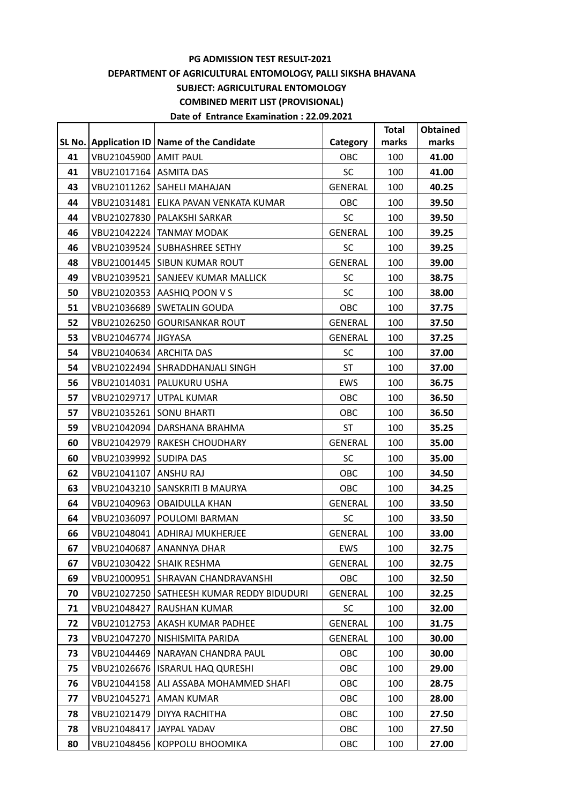## **PG ADMISSION TEST RESULT-2021 DEPARTMENT OF AGRICULTURAL ENTOMOLOGY, PALLI SIKSHA BHAVANA SUBJECT: AGRICULTURAL ENTOMOLOGY COMBINED MERIT LIST (PROVISIONAL) Date of Entrance Examination : 22.09.2021**

|    |                            |                                             |                | <b>Total</b> | <b>Obtained</b> |
|----|----------------------------|---------------------------------------------|----------------|--------------|-----------------|
|    |                            | SL No. Application ID Name of the Candidate | Category       | marks        | marks           |
| 41 | VBU21045900 AMIT PAUL      |                                             | OBC            | 100          | 41.00           |
| 41 | VBU21017164   ASMITA DAS   |                                             | SC.            | 100          | 41.00           |
| 43 |                            | VBU21011262   SAHELI MAHAJAN                | <b>GENERAL</b> | 100          | 40.25           |
| 44 |                            | VBU21031481   ELIKA PAVAN VENKATA KUMAR     | OBC            | 100          | 39.50           |
| 44 |                            | VBU21027830   PALAKSHI SARKAR               | <b>SC</b>      | 100          | 39.50           |
| 46 |                            | VBU21042224   TANMAY MODAK                  | <b>GENERAL</b> | 100          | 39.25           |
| 46 |                            | VBU21039524 SUBHASHREE SETHY                | SC.            | 100          | 39.25           |
| 48 |                            | VBU21001445   SIBUN KUMAR ROUT              | <b>GENERAL</b> | 100          | 39.00           |
| 49 |                            | VBU21039521 SANJEEV KUMAR MALLICK           | <b>SC</b>      | 100          | 38.75           |
| 50 |                            | VBU21020353   AASHIQ POON V S               | SC.            | 100          | 38.00           |
| 51 |                            | VBU21036689   SWETALIN GOUDA                | OBC            | 100          | 37.75           |
| 52 |                            | VBU21026250 GOURISANKAR ROUT                | <b>GENERAL</b> | 100          | 37.50           |
| 53 | VBU21046774   JIGYASA      |                                             | <b>GENERAL</b> | 100          | 37.25           |
| 54 | VBU21040634 ARCHITA DAS    |                                             | <b>SC</b>      | 100          | 37.00           |
| 54 |                            | VBU21022494 SHRADDHANJALI SINGH             | ST             | 100          | 37.00           |
| 56 |                            | VBU21014031   PALUKURU USHA                 | EWS            | 100          | 36.75           |
| 57 |                            | VBU21029717 UTPAL KUMAR                     | OBC            | 100          | 36.50           |
| 57 | VBU21035261   SONU BHARTI  |                                             | OBC            | 100          | 36.50           |
| 59 |                            | VBU21042094   DARSHANA BRAHMA               | ST             | 100          | 35.25           |
| 60 |                            | VBU21042979   RAKESH CHOUDHARY              | <b>GENERAL</b> | 100          | 35.00           |
| 60 | VBU21039992   SUDIPA DAS   |                                             | <b>SC</b>      | 100          | 35.00           |
| 62 | VBU21041107   ANSHU RAJ    |                                             | OBC            | 100          | 34.50           |
| 63 |                            | VBU21043210   SANSKRITI B MAURYA            | OBC            | 100          | 34.25           |
| 64 |                            | VBU21040963   OBAIDULLA KHAN                | <b>GENERAL</b> | 100          | 33.50           |
| 64 |                            | VBU21036097   POULOMI BARMAN                | <b>SC</b>      | 100          | 33.50           |
| 66 |                            | VBU21048041   ADHIRAJ MUKHERJEE             | <b>GENERAL</b> | 100          | 33.00           |
| 67 |                            | VBU21040687 ANANNYA DHAR                    | <b>EWS</b>     | 100          | 32.75           |
| 67 |                            | VBU21030422 SHAIK RESHMA                    | <b>GENERAL</b> | 100          | 32.75           |
| 69 |                            | VBU21000951 SHRAVAN CHANDRAVANSHI           | OBC            | 100          | 32.50           |
| 70 | VBU21027250                | SATHEESH KUMAR REDDY BIDUDURI               | <b>GENERAL</b> | 100          | 32.25           |
| 71 |                            | VBU21048427   RAUSHAN KUMAR                 | SC.            | 100          | 32.00           |
| 72 |                            | VBU21012753   AKASH KUMAR PADHEE            | <b>GENERAL</b> | 100          | 31.75           |
| 73 |                            | VBU21047270   NISHISMITA PARIDA             | <b>GENERAL</b> | 100          | 30.00           |
| 73 |                            | VBU21044469   NARAYAN CHANDRA PAUL          | OBC            | 100          | 30.00           |
| 75 |                            | VBU21026676   ISRARUL HAQ QURESHI           | OBC            | 100          | 29.00           |
| 76 |                            | VBU21044158   ALI ASSABA MOHAMMED SHAFI     | OBC            | 100          | 28.75           |
| 77 |                            | VBU21045271   AMAN KUMAR                    | <b>OBC</b>     | 100          | 28.00           |
| 78 |                            | VBU21021479   DIYYA RACHITHA                | OBC            | 100          | 27.50           |
| 78 | VBU21048417   JAYPAL YADAV |                                             | OBC            | 100          | 27.50           |
| 80 |                            | VBU21048456   KOPPOLU BHOOMIKA              | OBC            | 100          | 27.00           |